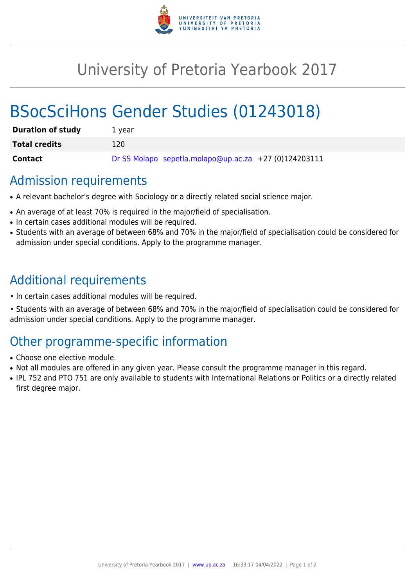

## University of Pretoria Yearbook 2017

# BSocSciHons Gender Studies (01243018)

| <b>Duration of study</b> | 1 vear                                                |
|--------------------------|-------------------------------------------------------|
| <b>Total credits</b>     | 120                                                   |
| Contact                  | Dr SS Molapo sepetla.molapo@up.ac.za +27 (0)124203111 |

### Admission requirements

- A relevant bachelor's degree with Sociology or a directly related social science major.
- An average of at least 70% is required in the major/field of specialisation.
- In certain cases additional modules will be required.
- Students with an average of between 68% and 70% in the major/field of specialisation could be considered for admission under special conditions. Apply to the programme manager.

### Additional requirements

- In certain cases additional modules will be required.
- Students with an average of between 68% and 70% in the major/field of specialisation could be considered for admission under special conditions. Apply to the programme manager.

### Other programme-specific information

- Choose one elective module.
- Not all modules are offered in any given year. Please consult the programme manager in this regard.
- IPL 752 and PTO 751 are only available to students with International Relations or Politics or a directly related first degree major.